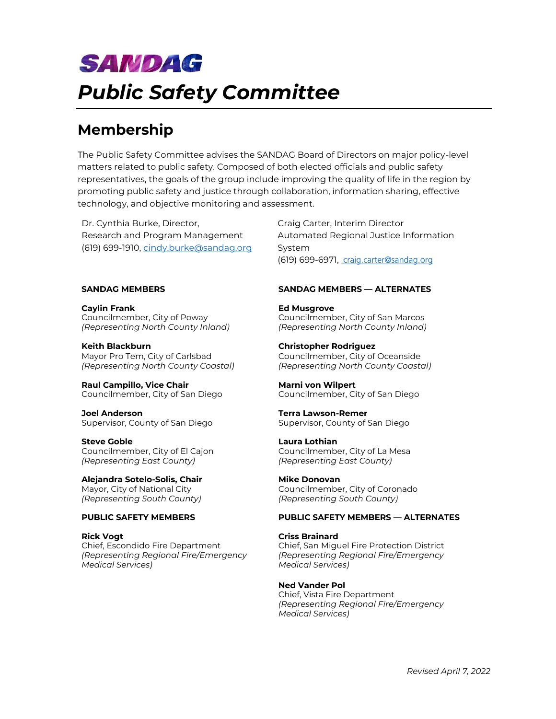# **SANDAG** *Public Safety Committee*

## **Membership**

The Public Safety Committee advises the SANDAG Board of Directors on major policy-level matters related to public safety. Composed of both elected officials and public safety representatives, the goals of the group include improving the quality of life in the region by promoting public safety and justice through collaboration, information sharing, effective technology, and objective monitoring and assessment.

Dr. Cynthia Burke, Director, Research and Program Management (619) 699-1910, [cindy.burke@sandag.org](mailto:cindy.burke@sandag.org)

**Caylin Frank** Councilmember, City of Poway *(Representing North County Inland)*

**Keith Blackburn** Mayor Pro Tem, City of Carlsbad *(Representing North County Coastal)*

**Raul Campillo, Vice Chair** Councilmember, City of San Diego

**Joel Anderson** Supervisor, County of San Diego

**Steve Goble** Councilmember, City of El Cajon *(Representing East County)*

**Alejandra Sotelo-Solis, Chair** Mayor, City of National City *(Representing South County)*

**Rick Vogt** Chief, Escondido Fire Department *(Representing Regional Fire/Emergency Medical Services)*

Craig Carter, Interim Director Automated Regional Justice Information System (619) 699-6971, craig.carter@sandag.org

### **SANDAG MEMBERS SANDAG MEMBERS — ALTERNATES**

**Ed Musgrove** Councilmember, City of San Marcos *(Representing North County Inland)*

**Christopher Rodriguez** Councilmember, City of Oceanside *(Representing North County Coastal)*

**Marni von Wilpert** Councilmember, City of San Diego

**Terra Lawson-Remer** Supervisor, County of San Diego

**Laura Lothian** Councilmember, City of La Mesa *(Representing East County)*

**Mike Donovan** Councilmember, City of Coronado *(Representing South County)*

### **PUBLIC SAFETY MEMBERS PUBLIC SAFETY MEMBERS — ALTERNATES**

**Criss Brainard** Chief, San Miguel Fire Protection District *(Representing Regional Fire/Emergency Medical Services)*

**Ned Vander Pol** Chief, Vista Fire Department *(Representing Regional Fire/Emergency Medical Services)*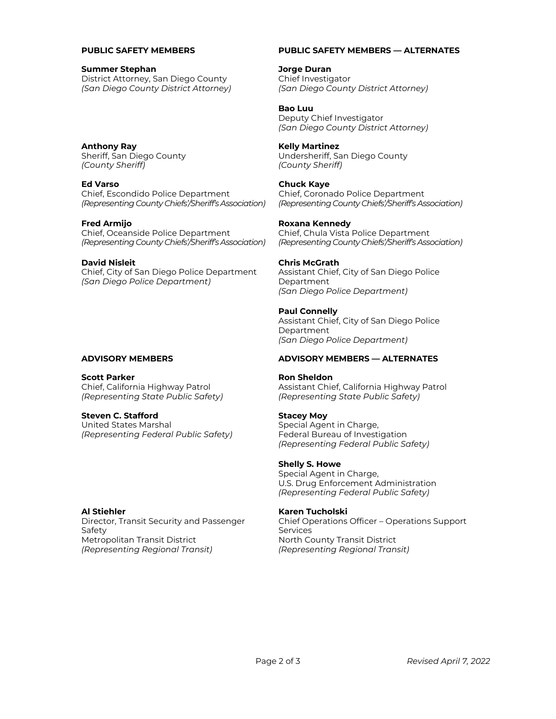#### **Summer Stephan**

District Attorney, San Diego County *(San Diego County District Attorney)*

**Anthony Ray** Sheriff, San Diego County *(County Sheriff)*

#### **Ed Varso**

Chief, Escondido Police Department *(Representing County Chiefs'/Sheriff's Association)*

### **Fred Armijo**

Chief, Oceanside Police Department *(Representing County Chiefs'/Sheriff's Association)*

#### **David Nisleit**

Chief, City of San Diego Police Department *(San Diego Police Department)*

**Scott Parker** Chief, California Highway Patrol *(Representing State Public Safety)*

#### **Steven C. Stafford**

United States Marshal *(Representing Federal Public Safety)*

#### **Al Stiehler**

Director, Transit Security and Passenger Safety Metropolitan Transit District *(Representing Regional Transit)*

#### **PUBLIC SAFETY MEMBERS PUBLIC SAFETY MEMBERS — ALTERNATES**

**Jorge Duran** Chief Investigator *(San Diego County District Attorney)*

**Bao Luu** Deputy Chief Investigator *(San Diego County District Attorney)*

#### **Kelly Martinez**

Undersheriff, San Diego County *(County Sheriff)*

#### **Chuck Kaye**

Chief, Coronado Police Department *(Representing County Chiefs'/Sheriff's Association)*

#### **Roxana Kennedy**

Chief, Chula Vista Police Department *(Representing County Chiefs'/Sheriff's Association)*

#### **Chris McGrath**

Assistant Chief, City of San Diego Police Department *(San Diego Police Department)*

#### **Paul Connelly**

Assistant Chief, City of San Diego Police Department *(San Diego Police Department)*

#### **ADVISORY MEMBERS ADVISORY MEMBERS — ALTERNATES**

#### **Ron Sheldon**

Assistant Chief, California Highway Patrol *(Representing State Public Safety)*

#### **Stacey Moy**

Special Agent in Charge, Federal Bureau of Investigation *(Representing Federal Public Safety)*

### **Shelly S. Howe**

Special Agent in Charge, U.S. Drug Enforcement Administration *(Representing Federal Public Safety)*

#### **Karen Tucholski**

Chief Operations Officer – Operations Support Services North County Transit District *(Representing Regional Transit)*